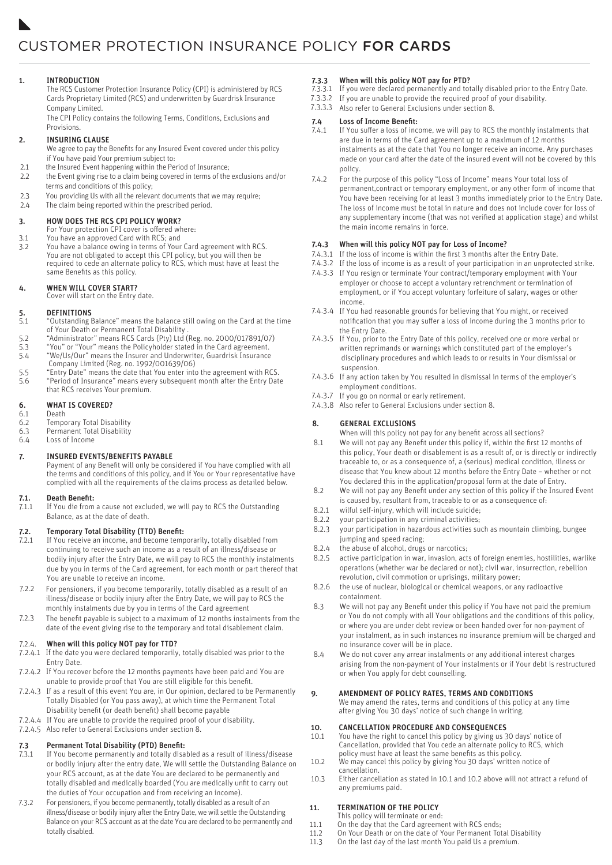# 1. INTRODUCTION 1. INTRODUCTION

The RCS Customer Protection Insurance Policy (CPI) is administered by RCS The RCS Customer Protection Insurance Policy (CPI) is administered by RCS Cards Proprietary Limited (RCS) and underwritten by Guardrisk Insurance Cards Proprietary Limited (RCS) and underwritten by Guardrisk Insurance Company Limited. Company Limited.

The CPI Policy contains the following Terms, Conditions, Exclusions and The CPI Policy contains the following Terms, Conditions, Exclusions and Provisions. Provisions.

# 2. INSURING CLAUSE 2. INSURING CLAUSE

We agree to pay the Benefits for any Insured Event covered under this policy We agree to pay the Benefits for any Insured Event covered under this policy if You have paid Your premium subject to: if You have paid Your premium subject to:

- 2.1 the Insured Event happening within the Period of Insurance; 2.1 the Insured Event happening within the Period of Insurance;
- 2.2 the Event giving rise to a claim being covered in terms of the exclusions and/or 2.2 the Event giving rise to a claim being covered in terms of the exclusions and/or terms and conditions of this policy; terms and conditions of this policy;
- 2.3 You providing Us with all the relevant documents that we may require; 2.3 You providing Us with all the relevant documents that we may require;
- 2.4 The claim being reported within the prescribed period. 2.4 The claim being reported within the prescribed period.

### 3. HOW DOES THE RCS CPI POLICY WORK? 3. HOW DOES THE RCS CPI POLICY WORK?

- For Your protection CPI cover is offered where: For Your protection CPI cover is offered where:
- 3.1 You have an approved Card with RCS; and 3.1 You have an approved Card with RCS; and
- 3.2 You have a balance owing in terms of Your Card agreement with RCS. 3.2 You have a balance owing in terms of Your Card agreement with RCS. You are not obligated to accept this CPI policy, but you will then be You are not obligated to accept this CPI policy, but you will then be required to cede an alternate policy to RCS, which must have at least the required to cede an alternate policy to RCS, which must have at least the same Benefits as this policy. same Benefits as this policy.

### 4. WHEN WILL COVER START? 4. WHEN WILL COVER START?

Cover will start on the Entry date. Cover will start on the Entry date.

### 5. DEFINITIONS 5. DEFINITIONS

- 5.1 "Outstanding Balance" means the balance still owing on the Card at the time 5.1 "Outstanding Balance" means the balance still owing on the Card at the time of Your Death or Permanent Total Disability . of Your Death or Permanent Total Disability .
- 5.2 "Administrator" means RCS Cards (Pty) Ltd (Reg. no. 2000/017891/07) 5.2 "Administrator" means RCS Cards (Pty) Ltd (Reg. no. 2000/017891/07)
- 5.3 "You" or "Your" means the Policyholder stated in the Card agreement. 5.3 "You" or "Your" means the Policyholder stated in the Card agreement.
- 5.4 "We/Us/Our" means the Insurer and Underwriter, Guardrisk Insurance 5.4 "We/Us/Our" means the Insurer and Underwriter, Guardrisk Insurance Company Limited (Reg. no. 1992/001639/06) Company Limited (Reg. no. 1992/001639/06)
- 5.5 "Entry Date" means the date that You enter into the agreement with RCS. 5.5 "Entry Date" means the date that You enter into the agreement with RCS. 5.6 "Period of Insurance" means every subsequent month after the Entry Date 5.6 "Period of Insurance" means every subsequent month after the Entry Date that RCS receives Your premium. that RCS receives Your premium.

# 6. WHAT IS COVERED? 6. WHAT IS COVERED?

- 6.1 Death 6.1 Death
- 6.2 Temporary Total Disability 6.2 Temporary Total Disability
- 6.3 Permanent Total Disability 6.3 Permanent Total Disability
- 6.4 Loss of Income 6.4 Loss of Income

# 7. INSURED EVENTS/BENEFITS PAYABLE 7. INSURED EVENTS/BENEFITS PAYABLE

Payment of any Benefit will only be considered if You have complied with all Payment of any Benefit will only be considered if You have complied with all the terms and conditions of this policy, and if You or Your representative have complied with all the requirements of the claims process as detailed below. the terms and conditions of this policy, and if You or Your representative have complied with all the requirements of the claims process as detailed below.

#### 7.1. Death Benefit: 7.1. Death Benefit:

7.1.1 If You die from a cause not excluded, we will pay to RCS the Outstanding 7.1.1 If You die from a cause not excluded, we will pay to RCS the Outstanding Balance, as at the date of death. Balance, as at the date of death.

# 7.2. Temporary Total Disability (TTD) Benefit: 7.2. Temporary Total Disability (TTD) Benefit:

- 7.2.1 If You receive an income, and become temporarily, totally disabled from 7.2.1 If You receive an income, and become temporarily, totally disabled from continuing to receive such an income as a result of an illness/disease or continuing to receive such an income as a result of an illness/disease or bodily injury after the Entry Date, we will pay to RCS the monthly instalments bodily injury after the Entry Date, we will pay to RCS the monthly instalments due by you in terms of the Card agreement, for each month or part thereof that due by you in terms of the Card agreement, for each month or part thereof that You are unable to receive an income. You are unable to receive an income.
- 7.2.2 For pensioners, if you become temporarily, totally disabled as a result of an 7.2.2 For pensioners, if you become temporarily, totally disabled as a result of an illness/disease or bodily injury after the Entry Date, we will pay to RCS the illness/disease or bodily injury after the Entry Date, we will pay to RCS the monthly instalments due by you in terms of the Card agreement monthly instalments due by you in terms of the Card agreement
- The benefit payable is subject to a maximum of 12 months instalments from the The benefit payable is subject to a maximum of 12 months instalments from the date of the event giving rise to the temporary and total disablement claim. date of the event giving rise to the temporary and total disablement claim. 7.2.3 7.2.3

# 7.2.4. When will this policy NOT pay for TTD? 7.2.4. When will this policy NOT pay for TTD?

- 7.2.4.1 If the date you were declared temporarily, totally disabled was prior to the 7.2.4.1 If the date you were declared temporarily, totally disabled was prior to the Entry Date. Entry Date.
- 7.2.4.2 If You recover before the 12 months payments have been paid and You are 7.2.4.2 If You recover before the 12 months payments have been paid and You are unable to provide proof that You are still eligible for this benefit. unable to provide proof that You are still eligible for this benefit.
- 7.2.4.3 If as a result of this event You are, in Our opinion, declared to be Permanently 7.2.4.3 If as a result of this event You are, in Our opinion, declared to be Permanently Totally Disabled (or You pass away), at which time the Permanent Total Totally Disabled (or You pass away), at which time the Permanent Total Disability benefit (or death benefit) shall become payable Disability benefit (or death benefit) shall become payable
- 7.2.4.4 If You are unable to provide the required proof of your disability. 7.2.4.4 If You are unable to provide the required proof of your disability.
- 7.2.4.5 Also refer to General Exclusions under section 8. 7.2.4.5 Also refer to General Exclusions under section 8.

# 7.3 Permanent Total Disability (PTD) Benefit: 7.3 Permanent Total Disability (PTD) Benefit:

- 7.3.1 If You become permanently and totally disabled as a result of illness/disease 7.3.1 If You become permanently and totally disabled as a result of illness/disease or bodily injury after the entry date, We will settle the Outstanding Balance on or bodily injury after the entry date, We will settle the Outstanding Balance on your RCS account, as at the date You are declared to be permanently and your RCS account, as at the date You are declared to be permanently and totally disabled and medically boarded (You are medically unfit to carry out totally disabled and medically boarded (You are medically unfit to carry out the duties of Your occupation and from receiving an income). the duties of Your occupation and from receiving an income).
- 7.3.2 For pensioners, if you become permanently, totally disabled as a result of an 7.3.2 For pensioners, if you become permanently, totally disabled as a result of an illness/disease or bodily injury after the Entry Date, we will settle the Outstanding Balance on your RCS account as at the date You are declared to be permanently and Balance on your RCS account as at the date You are declared to be permanently and totally disabled. totally disabled.

### 7.3.3 When will this policy NOT pay for PTD? 7.3.3 When will this policy NOT pay for PTD?

- 7.3.3.1 If you were declared permanently and totally disabled prior to the Entry Date. 7.3.3.1 If you were declared permanently and totally disabled prior to the Entry Date.
- If you are unable to provide the required proof of your disability. If you are unable to provide the required proof of your disability. 7.3.3.2 7.3.3.2
- 7.3.3.3 Also refer to General Exclusions under section 8.

### 7.4 Loss of Income Benefit: 7.4 Loss of Income Benefit:

- 7.4.1 If You suffer a loss of income, we will pay to RCS the monthly instalments that 7.4.1 If You suffer a loss of income, we will pay to RCS the monthly instalments that are due in terms of the Card agreement up to a maximum of 12 months are due in terms of the Card agreement up to a maximum of 12 months instalments as at the date that You no longer receive an income. Any purchases instalments as at the date that You no longer receive an income. Any purchases made on your card after the date of the insured event will not be covered by this made on your card after the date of the insured event will not be covered by this policy. policy.
- 7.4.2 For the purpose of this policy "Loss of Income" means Your total loss of 7.4.2 For the purpose of this policy "Loss of Income" means Your total loss of permanent,contract or temporary employment, or any other form of income that permanent,contract or temporary employment, or any other form of income that You have been receiving for at least 3 months immediately prior to the Entry Date. You have been receiving for at least 3 months immediately prior to the Entry Date. The loss of income must be total in nature and does not include cover for loss of The loss of income must be total in nature and does not include cover for loss of<br>any supplementary income (that was not verified at application stage) and whilst the main income remains in force.

## 7.4.3 When will this policy NOT pay for Loss of Income? 7.4.3 When will this policy NOT pay for Loss of Income?

- 7.4.3.1 If the loss of income is within the first 3 months after the Entry Date. 7.4.3.1 If the loss of income is within the first 3 months after the Entry Date.
- If the loss of income is as a result of your participation in an unprotected strike. 7.4.3.2 If the loss of income is as a result of your participation in an unprotected strike. 7.4.3.2
- If You resign or terminate Your contract/temporary employment with Your 7.4.3.3 If You resign or terminate Your contract/temporary employment with Your 7.4.3.3 employer or choose to accept a voluntary retrenchment or termination of employer or choose to accept a voluntary retrenchment or termination of employment, or if You accept voluntary forfeiture of salary, wages or other employment, or if You accept voluntary forfeiture of salary, wages or other income. income.
- 7.4.3.4 If You had reasonable grounds for believing that You might, or received notification that you may suffer a loss of income during the 3 months prior to notification that you may suffer a loss of income during the 3 months prior to the Entry Date. the Entry Date.
- If You, prior to the Entry Date of this policy, received one or more verbal or 7.4.3.5 If You, prior to the Entry Date of this policy, received one or more verbal or 7.4.3.5 written reprimands or warnings which constituted part of the employer's written reprimands or warnings which constituted part of the employer's disciplinary procedures and which leads to or results in Your dismissal or disciplinary procedures and which leads to or results in Your dismissal or suspension. suspension.
- If any action taken by You resulted in dismissal in terms of the employer's 7.4.3.6 If any action taken by You resulted in dismissal in terms of the employer's 7.4.3.6 employment conditions. employment conditions.
- 7.4.3.7 If you go on normal or early retirement.
	- Also refer to General Exclusions under section 8. 7.4.3.8 Also refer to General Exclusions under section 8. 7.4.3.8

# 8. GENERAL EXCLUSIONS 8. GENERAL EXCLUSIONS

When will this policy not pay for any benefit across all sections? When will this policy not pay for any benefit across all sections?

- 8.1 We will not pay any Benefit under this policy if, within the first 12 months of 8.1 We will not pay any Benefit under this policy if, within the first 12 months of this policy, Your death or disablement is as a result of, or is directly or indirectly this policy, Your death or disablement is as a result of, or is directly or indirectly traceable to, or as a consequence of, a (serious) medical condition, illness or traceable to, or as a consequence of, a (serious) medical condition, illness or disease that You knew about 12 months before the Entry Date – whether or not disease that You knew about 12 months before the Entry Date – whether or not You declared this in the application/proposal form at the date of Entry. You declared this in the application/proposal form at the date of Entry.
- 8.2 We will not pay any Benefit under any section of this policy if the Insured Event 8.2 We will not pay any Benefit under any section of this policy if the Insured Event is caused by, resultant from, traceable to or as a consequence of: is caused by, resultant from, traceable to or as a consequence of:
- 8.2.1 wilful self-injury, which will include suicide; 8.2.1 wilful self-injury, which will include suicide;
- 8.2.2 your participation in any criminal activities; 8.2.2 your participation in any criminal activities;
- 8.2.3 your participation in hazardous activities such as mountain climbing, bungee 8.2.3 your participation in hazardous activities such as mountain climbing, bungee jumping and speed racing; jumping and speed racing;
- 8.2.4 the abuse of alcohol, drugs or narcotics; 8.2.4 the abuse of alcohol, drugs or narcotics;
- 8.2.5 active participation in war, invasion, acts of foreign enemies, hostilities, warlike 8.2.5 active participation in war, invasion, acts of foreign enemies, hostilities, warlike operations (whether war be declared or not); civil war, insurrection, rebellion operations (whether war be declared or not); civil war, insurrection, rebellion revolution, civil commotion or uprisings, military power; revolution, civil commotion or uprisings, military power;
- 8.2.6 the use of nuclear, biological or chemical weapons, or any radioactive 8.2.6 the use of nuclear, biological or chemical weapons, or any radioactive containment. containment.
- 8.3 We will not pay any Benefit under this policy if You have not paid the premium 8.3 We will not pay any Benefit under this policy if You have not paid the premium or You do not comply with all Your obligations and the conditions of this policy, or You do not comply with all Your obligations and the conditions of this policy, or where you are under debt review or been handed over for non-payment of or where you are under debt review or been handed over for non-payment of your instalment, as in such instances no insurance premium will be charged and your instalment, as in such instances no insurance premium will be charged and no insurance cover will be in place. no insurance cover will be in place.
- 8.4 We do not cover any arrear instalments or any additional interest charges 8.4 We do not cover any arrear instalments or any additional interest charges arising from the non-payment of Your instalments or if Your debt is restructured arising from the non-payment of Your instalments or if Your debt is restructured or when You apply for debt counselling. or when You apply for debt counselling.

## 9. AMENDMENT OF POLICY RATES, TERMS AND CONDITIONS 9. AMENDMENT OF POLICY RATES, TERMS AND CONDITIONS

We may amend the rates, terms and conditions of this policy at any time We may amend the rates, terms and conditions of this policy at any time after giving You 30 days' notice of such change in writing. after giving You 30 days' notice of such change in writing.

#### 10. CANCELLATION PROCEDURE AND CONSEQUENCES 10. CANCELLATION PROCEDURE AND CONSEQUENCES

- 10.1 You have the right to cancel this policy by giving us 30 days' notice of 10.1 You have the right to cancel this policy by giving us 30 days' notice of Cancellation, provided that You cede an alternate policy to RCS, which Cancellation, provided that You cede an alternate policy to RCS, which policy must have at least the same benefits as this policy. policy must have at least the same benefits as this policy.
- 10.2 We may cancel this policy by giving You 30 days' written notice of 10.2 We may cancel this policy by giving You 30 days' written notice of cancellation. cancellation.
- 10.3 Either cancellation as stated in 10.1 and 10.2 above will not attract a refund of 10.3 Either cancellation as stated in 10.1 and 10.2 above will not attract a refund of any premiums paid. any premiums paid.

#### 11. TERMINATION OF THE POLICY 11. TERMINATION OF THE POLICY

- This policy will terminate or end: This policy will terminate or end:
- 11.1 On the day that the Card agreement with RCS ends; 11.1 On the day that the Card agreement with RCS ends;
- 11.2 On Your Death or on the date of Your Permanent Total Disability 11.2 On Your Death or on the date of Your Permanent Total Disability
- 11.3 On the last day of the last month You paid Us a premium. 11.3 On the last day of the last month You paid Us a premium.